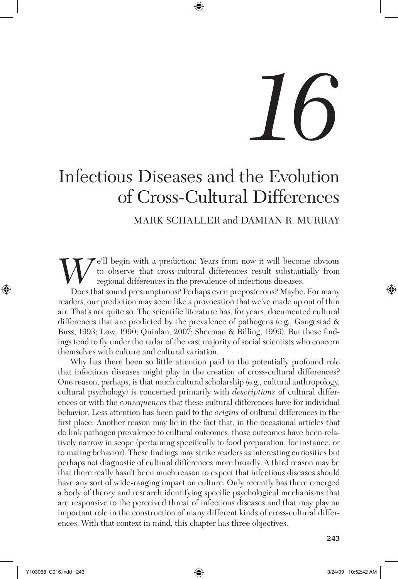# *16*

# Infectious Diseases and the Evolution of Cross-Cultural Differences

# MARK SCHALLER and DAMIAN R. MURRAY

*W*<sup>e'll</sup> begin with a prediction: Years from now it will become obvious to observe that cross-cultural differences result substantially from regional differences in the prevalence of infectious diseases.<br>Does that sound p to observe that cross-cultural differences result substantially from regional differences in the prevalence of infectious diseases.

Does that sound presumptuous? Perhaps even preposterous? Maybe. For many readers, our prediction may seem like a provocation that we've made up out of thin air. That's not quite so. The scientific literature has, for years, documented cultural differences that are predicted by the prevalence of pathogens (e.g., Gangestad & Buss, 1993; Low, 1990; Quinlan, 2007; Sherman & Billing, 1999). But these findings tend to fly under the radar of the vast majority of social scientists who concern themselves with culture and cultural variation.

Why has there been so little attention paid to the potentially profound role that infectious diseases might play in the creation of cross-cultural differences? One reason, perhaps, is that much cultural scholarship (e.g., cultural anthropology, cultural psychology) is concerned primarily with *descriptions* of cultural differences or with the *consequences* that these cultural differences have for individual behavior. Less attention has been paid to the *origins* of cultural differences in the first place. Another reason may lie in the fact that, in the occasional articles that do link pathogen prevalence to cultural outcomes, those outcomes have been relatively narrow in scope (pertaining specifically to food preparation, for instance, or to mating behavior). These findings may strike readers as interesting curiosities but perhaps not diagnostic of cultural differences more broadly. A third reason may be that there really hasn't been much reason to expect that infectious diseases should have any sort of wide-ranging impact on culture. Only recently has there emerged a body of theory and research identifying specific psychological mechanisms that are responsive to the perceived threat of infectious diseases and that may play an important role in the construction of many different kinds of cross-cultural differences. With that context in mind, this chapter has three objectives.

⊕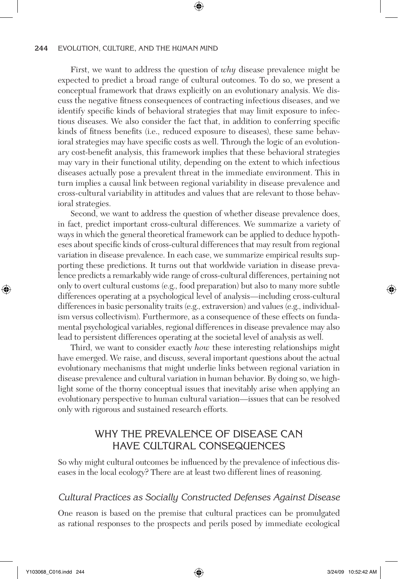First, we want to address the question of *why* disease prevalence might be expected to predict a broad range of cultural outcomes. To do so, we present a conceptual framework that draws explicitly on an evolutionary analysis. We discuss the negative fitness consequences of contracting infectious diseases, and we identify specific kinds of behavioral strategies that may limit exposure to infectious diseases. We also consider the fact that, in addition to conferring specific kinds of fitness benefits (i.e., reduced exposure to diseases), these same behavioral strategies may have specific costs as well. Through the logic of an evolutionary cost-benefit analysis, this framework implies that these behavioral strategies may vary in their functional utility, depending on the extent to which infectious diseases actually pose a prevalent threat in the immediate environment. This in turn implies a causal link between regional variability in disease prevalence and cross-cultural variability in attitudes and values that are relevant to those behavioral strategies.

⊕

Second, we want to address the question of whether disease prevalence does, in fact, predict important cross-cultural differences. We summarize a variety of ways in which the general theoretical framework can be applied to deduce hypotheses about specific kinds of cross-cultural differences that may result from regional variation in disease prevalence. In each case, we summarize empirical results supporting these predictions. It turns out that worldwide variation in disease prevalence predicts a remarkably wide range of cross-cultural differences, pertaining not only to overt cultural customs (e.g., food preparation) but also to many more subtle differences operating at a psychological level of analysis—including cross-cultural differences in basic personality traits (e.g., extraversion) and values (e.g., individualism versus collectivism). Furthermore, as a consequence of these effects on fundamental psychological variables, regional differences in disease prevalence may also lead to persistent differences operating at the societal level of analysis as well.

Third, we want to consider exactly *how* these interesting relationships might have emerged. We raise, and discuss, several important questions about the actual evolutionary mechanisms that might underlie links between regional variation in disease prevalence and cultural variation in human behavior. By doing so, we highlight some of the thorny conceptual issues that inevitably arise when applying an evolutionary perspective to human cultural variation—issues that can be resolved only with rigorous and sustained research efforts.

# Why the Prevalence of Disease Can Have Cultural Consequences

So why might cultural outcomes be influenced by the prevalence of infectious diseases in the local ecology? There are at least two different lines of reasoning.

#### *Cultural Practices as Socially Constructed Defenses Against Disease*

One reason is based on the premise that cultural practices can be promulgated as rational responses to the prospects and perils posed by immediate ecological

⊕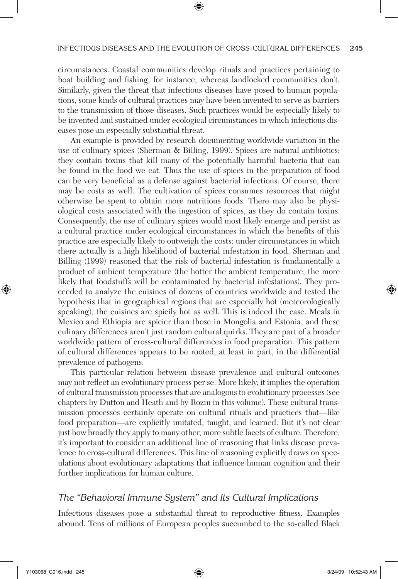#### Infectious Diseases and the Evolution of Cross-Cultural Differences **245**

circumstances. Coastal communities develop rituals and practices pertaining to boat building and fishing, for instance, whereas landlocked communities don't. Similarly, given the threat that infectious diseases have posed to human populations, some kinds of cultural practices may have been invented to serve as barriers to the transmission of those diseases. Such practices would be especially likely to be invented and sustained under ecological circumstances in which infectious diseases pose an especially substantial threat.

An example is provided by research documenting worldwide variation in the use of culinary spices (Sherman & Billing, 1999). Spices are natural antibiotics; they contain toxins that kill many of the potentially harmful bacteria that can be found in the food we eat. Thus the use of spices in the preparation of food can be very beneficial as a defense against bacterial infections. Of course, there may be costs as well. The cultivation of spices consumes resources that might otherwise be spent to obtain more nutritious foods. There may also be physiological costs associated with the ingestion of spices, as they do contain toxins. Consequently, the use of culinary spices would most likely emerge and persist as a cultural practice under ecological circumstances in which the benefits of this practice are especially likely to outweigh the costs: under circumstances in which there actually is a high likelihood of bacterial infestation in food. Sherman and Billing (1999) reasoned that the risk of bacterial infestation is fundamentally a product of ambient temperature (the hotter the ambient temperature, the more likely that foodstuffs will be contaminated by bacterial infestations). They proceeded to analyze the cuisines of dozens of countries worldwide and tested the hypothesis that in geographical regions that are especially hot (meteorologically speaking), the cuisines are spicily hot as well. This is indeed the case. Meals in Mexico and Ethiopia are spicier than those in Mongolia and Estonia, and these culinary differences aren't just random cultural quirks. They are part of a broader worldwide pattern of cross-cultural differences in food preparation. This pattern of cultural differences appears to be rooted, at least in part, in the differential prevalence of pathogens.

This particular relation between disease prevalence and cultural outcomes may not reflect an evolutionary process per se. More likely, it implies the operation of cultural transmission processes that are analogous to evolutionary processes (see chapters by Dutton and Heath and by Rozin in this volume). These cultural transmission processes certainly operate on cultural rituals and practices that—like food preparation—are explicitly imitated, taught, and learned. But it's not clear just how broadly they apply to many other, more subtle facets of culture. Therefore, it's important to consider an additional line of reasoning that links disease prevalence to cross-cultural differences. This line of reasoning explicitly draws on speculations about evolutionary adaptations that influence human cognition and their further implications for human culture.

#### *The "Behavioral Immune System" and Its Cultural Implications*

Infectious diseases pose a substantial threat to reproductive fitness. Examples abound. Tens of millions of European peoples succumbed to the so-called Black

⊕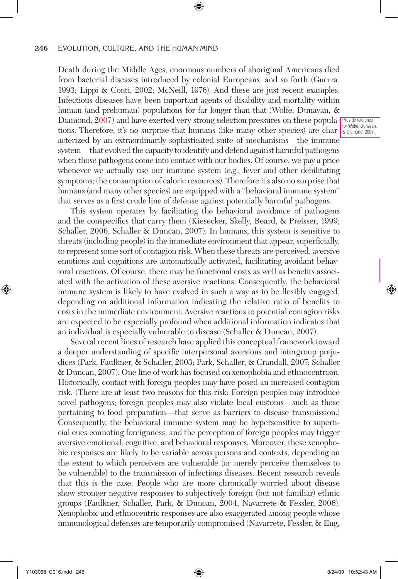Death during the Middle Ages, enormous numbers of aboriginal Americans died from bacterial diseases introduced by colonial Europeans, and so forth (Guerra, 1993; Lippi & Conti, 2002; McNeill, 1976). And these are just recent examples. Infectious diseases have been important agents of disability and mortality within human (and prehuman) populations for far longer than that (Wolfe, Dunavan, & Diamond, 2007) and have exerted very strong selection pressures on these popula-Provide reference tions. Therefore, it's no surprise that humans (like many other species) are char-& Diamond, 2007. acterized by an extraordinarily sophisticated suite of mechanisms—the immune system—that evolved the capacity to identify and defend against harmful pathogens when those pathogens come into contact with our bodies. Of course, we pay a price whenever we actually use our immune system (e.g., fever and other debilitating symptoms; the consumption of caloric resources). Therefore it's also no surprise that humans (and many other species) are equipped with a "behavioral immune system" that serves as a first crude line of defense against potentially harmful pathogens.

This system operates by facilitating the behavioral avoidance of pathogens and the conspecifics that carry them (Kiesecker, Skelly, Beard, & Preisser, 1999; Schaller, 2006; Schaller & Duncan, 2007). In humans, this system is sensitive to threats (including people) in the immediate environment that appear, superficially, to represent some sort of contagion risk. When these threats are perceived, aversive emotions and cognitions are automatically activated, facilitating avoidant behavioral reactions. Of course, there may be functional costs as well as benefits associated with the activation of these aversive reactions. Consequently, the behavioral immune system is likely to have evolved in such a way as to be flexibly engaged, depending on additional information indicating the relative ratio of benefits to costs in the immediate environment. Aversive reactions to potential contagion risks are expected to be especially profound when additional information indicates that an individual is especially vulnerable to disease (Schaller & Duncan, 2007).

Several recent lines of research have applied this conceptual framework toward a deeper understanding of specific interpersonal aversions and intergroup prejudices (Park, Faulkner, & Schaller, 2003; Park, Schaller, & Crandall, 2007; Schaller & Duncan, 2007). One line of work has focused on xenophobia and ethnocentrism. Historically, contact with foreign peoples may have posed an increased contagion risk. (There are at least two reasons for this risk: Foreign peoples may introduce novel pathogens; foreign peoples may also violate local customs—such as those pertaining to food preparation—that serve as barriers to disease transmission.) Consequently, the behavioral immune system may be hypersensitive to superficial cues connoting foreignness, and the perception of foreign peoples may trigger aversive emotional, cognitive, and behavioral responses. Moreover, these xenophobic responses are likely to be variable across persons and contexts, depending on the extent to which perceivers are vulnerable (or merely perceive themselves to be vulnerable) to the transmission of infectious diseases. Recent research reveals that this is the case. People who are more chronically worried about disease show stronger negative responses to subjectively foreign (but not familiar) ethnic groups (Faulkner, Schaller, Park, & Duncan, 2004; Navarrete & Fessler, 2006). Xenophobic and ethnocentric responses are also exaggerated among people whose immunological defenses are temporarily compromised (Navarrete, Fessler, & Eng,

for Wolfe, Dunavan,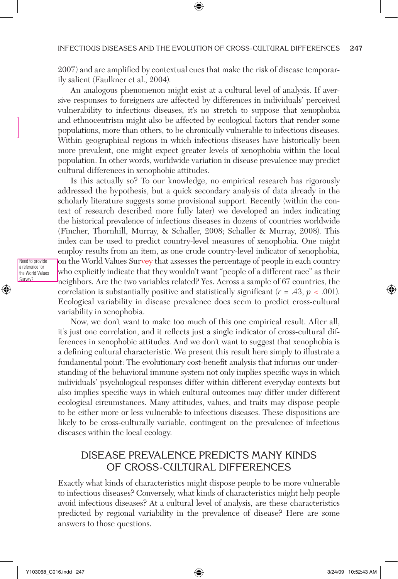2007) and are amplified by contextual cues that make the risk of disease temporarily salient (Faulkner et al., 2004).

An analogous phenomenon might exist at a cultural level of analysis. If aversive responses to foreigners are affected by differences in individuals' perceived vulnerability to infectious diseases, it's no stretch to suppose that xenophobia and ethnocentrism might also be affected by ecological factors that render some populations, more than others, to be chronically vulnerable to infectious diseases. Within geographical regions in which infectious diseases have historically been more prevalent, one might expect greater levels of xenophobia within the local population. In other words, worldwide variation in disease prevalence may predict cultural differences in xenophobic attitudes.

Is this actually so? To our knowledge, no empirical research has rigorously addressed the hypothesis, but a quick secondary analysis of data already in the scholarly literature suggests some provisional support. Recently (within the context of research described more fully later) we developed an index indicating the historical prevalence of infectious diseases in dozens of countries worldwide (Fincher, Thornhill, Murray, & Schaller, 2008; Schaller & Murray, 2008). This index can be used to predict country-level measures of xenophobia. One might employ results from an item, as one crude country-level indicator of xenophobia, on the World Values Survey that assesses the percentage of people in each country who explicitly indicate that they wouldn't want "people of a different race" as their neighbors. Are the two variables related? Yes. Across a sample of 67 countries, the correlation is substantially positive and statistically significant  $(r = .43, p < .001)$ . Ecological variability in disease prevalence does seem to predict cross-cultural variability in xenophobia.

Now, we don't want to make too much of this one empirical result. After all, it's just one correlation, and it reflects just a single indicator of cross-cultural differences in xenophobic attitudes. And we don't want to suggest that xenophobia is a defining cultural characteristic. We present this result here simply to illustrate a fundamental point: The evolutionary cost-benefit analysis that informs our understanding of the behavioral immune system not only implies specific ways in which individuals' psychological responses differ within different everyday contexts but also implies specific ways in which cultural outcomes may differ under different ecological circumstances. Many attitudes, values, and traits may dispose people to be either more or less vulnerable to infectious diseases. These dispositions are likely to be cross-culturally variable, contingent on the prevalence of infectious diseases within the local ecology.

# Disease Prevalence Predicts Many Kinds of Cross-Cultural Differences

Exactly what kinds of characteristics might dispose people to be more vulnerable to infectious diseases? Conversely, what kinds of characteristics might help people avoid infectious diseases? At a cultural level of analysis, are these characteristics predicted by regional variability in the prevalence of disease? Here are some answers to those questions.

Need to provide a reference for the World Values Survey?

⇔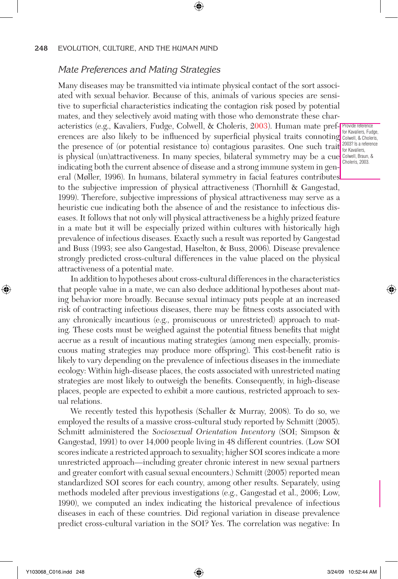#### *Mate Preferences and Mating Strategies*

Many diseases may be transmitted via intimate physical contact of the sort associated with sexual behavior. Because of this, animals of various species are sensitive to superficial characteristics indicating the contagion risk posed by potential mates, and they selectively avoid mating with those who demonstrate these characteristics (e.g., Kavaliers, Fudge, Colwell, & Choleris, 2003). Human mate pref-Provide reference for Kavaliers, Fudge, erences are also likely to be influenced by superficial physical traits connoting Colwell, & Choleris, the presence of (or potential resistance to) contagious parasites. One such trait  $\frac{2003?$  Is a reference is physical (un)attractiveness. In many species, bilateral symmetry may be a cue Colwell, Braun, & indicating both the current absence of disease and a strong immune system in general (Møller, 1996). In humans, bilateral symmetry in facial features contributes to the subjective impression of physical attractiveness (Thornhill & Gangestad, 1999). Therefore, subjective impressions of physical attractiveness may serve as a heuristic cue indicating both the absence of and the resistance to infectious diseases. It follows that not only will physical attractiveness be a highly prized feature in a mate but it will be especially prized within cultures with historically high prevalence of infectious diseases. Exactly such a result was reported by Gangestad and Buss (1993; see also Gangestad, Haselton, & Buss, 2006). Disease prevalence strongly predicted cross-cultural differences in the value placed on the physical attractiveness of a potential mate.

In addition to hypotheses about cross-cultural differences in the characteristics that people value in a mate, we can also deduce additional hypotheses about mating behavior more broadly. Because sexual intimacy puts people at an increased risk of contracting infectious diseases, there may be fitness costs associated with any chronically incautious (e.g., promiscuous or unrestricted) approach to mating. These costs must be weighed against the potential fitness benefits that might accrue as a result of incautious mating strategies (among men especially, promiscuous mating strategies may produce more offspring). This cost-benefit ratio is likely to vary depending on the prevalence of infectious diseases in the immediate ecology: Within high-disease places, the costs associated with unrestricted mating strategies are most likely to outweigh the benefits. Consequently, in high-disease places, people are expected to exhibit a more cautious, restricted approach to sexual relations.

We recently tested this hypothesis (Schaller & Murray, 2008). To do so, we employed the results of a massive cross-cultural study reported by Schmitt (2005). Schmitt administered the *Sociosexual Orientation Inventory* (SOI; Simpson & Gangestad, 1991) to over 14,000 people living in 48 different countries. (Low SOI scores indicate a restricted approach to sexuality; higher SOI scores indicate a more unrestricted approach—including greater chronic interest in new sexual partners and greater comfort with casual sexual encounters.) Schmitt (2005) reported mean standardized SOI scores for each country, among other results. Separately, using methods modeled after previous investigations (e.g., Gangestad et al., 2006; Low, 1990), we computed an index indicating the historical prevalence of infectious diseases in each of these countries. Did regional variation in disease prevalence predict cross-cultural variation in the SOI? Yes. The correlation was negative: In

Choleris, 2003.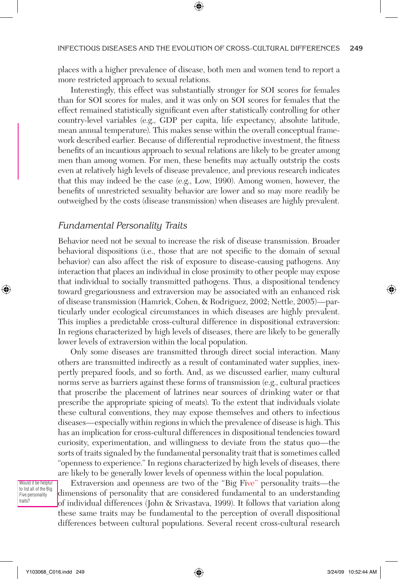places with a higher prevalence of disease, both men and women tend to report a more restricted approach to sexual relations.

Interestingly, this effect was substantially stronger for SOI scores for females than for SOI scores for males, and it was only on SOI scores for females that the effect remained statistically significant even after statistically controlling for other country-level variables (e.g., GDP per capita, life expectancy, absolute latitude, mean annual temperature). This makes sense within the overall conceptual framework described earlier. Because of differential reproductive investment, the fitness benefits of an incautious approach to sexual relations are likely to be greater among men than among women. For men, these benefits may actually outstrip the costs even at relatively high levels of disease prevalence, and previous research indicates that this may indeed be the case (e.g., Low, 1990). Among women, however, the benefits of unrestricted sexuality behavior are lower and so may more readily be outweighed by the costs (disease transmission) when diseases are highly prevalent.

#### *Fundamental Personality Traits*

Behavior need not be sexual to increase the risk of disease transmission. Broader behavioral dispositions (i.e., those that are not specific to the domain of sexual behavior) can also affect the risk of exposure to disease-causing pathogens. Any interaction that places an individual in close proximity to other people may expose that individual to socially transmitted pathogens. Thus, a dispositional tendency toward gregariousness and extraversion may be associated with an enhanced risk of disease transmission (Hamrick, Cohen, & Rodriguez, 2002; Nettle, 2005)—particularly under ecological circumstances in which diseases are highly prevalent. This implies a predictable cross-cultural difference in dispositional extraversion: In regions characterized by high levels of diseases, there are likely to be generally lower levels of extraversion within the local population.

Only some diseases are transmitted through direct social interaction. Many others are transmitted indirectly as a result of contaminated water supplies, inexpertly prepared foods, and so forth. And, as we discussed earlier, many cultural norms serve as barriers against these forms of transmission (e.g., cultural practices that proscribe the placement of latrines near sources of drinking water or that prescribe the appropriate spicing of meats). To the extent that individuals violate these cultural conventions, they may expose themselves and others to infectious diseases—especially within regions in which the prevalence of disease is high. This has an implication for cross-cultural differences in dispositional tendencies toward curiosity, experimentation, and willingness to deviate from the status quo—the sorts of traits signaled by the fundamental personality trait that is sometimes called "openness to experience." In regions characterized by high levels of diseases, there are likely to be generally lower levels of openness within the local population.

Would it be helpful to list all of the Big Five personality traits?

↔

Extraversion and openness are two of the "Big Five" personality traits—the dimensions of personality that are considered fundamental to an understanding of individual differences (John & Srivastava, 1999). It follows that variation along these same traits may be fundamental to the perception of overall dispositional differences between cultural populations. Several recent cross-cultural research

Y103068\_C016.indd 249 3/24/09 10:52:44 AM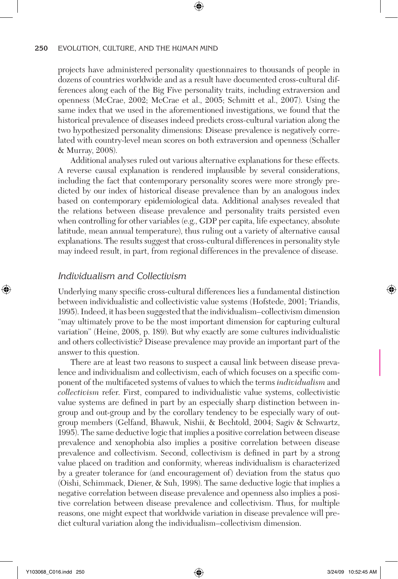projects have administered personality questionnaires to thousands of people in dozens of countries worldwide and as a result have documented cross-cultural differences along each of the Big Five personality traits, including extraversion and openness (McCrae, 2002; McCrae et al., 2005; Schmitt et al., 2007). Using the same index that we used in the aforementioned investigations, we found that the historical prevalence of diseases indeed predicts cross-cultural variation along the two hypothesized personality dimensions: Disease prevalence is negatively correlated with country-level mean scores on both extraversion and openness (Schaller & Murray, 2008).

Additional analyses ruled out various alternative explanations for these effects. A reverse causal explanation is rendered implausible by several considerations, including the fact that contemporary personality scores were more strongly predicted by our index of historical disease prevalence than by an analogous index based on contemporary epidemiological data. Additional analyses revealed that the relations between disease prevalence and personality traits persisted even when controlling for other variables (e.g., GDP per capita, life expectancy, absolute latitude, mean annual temperature), thus ruling out a variety of alternative causal explanations. The results suggest that cross-cultural differences in personality style may indeed result, in part, from regional differences in the prevalence of disease.

#### *Individualism and Collectivism*

Underlying many specific cross-cultural differences lies a fundamental distinction between individualistic and collectivistic value systems (Hofstede, 2001; Triandis, 1995). Indeed, it has been suggested that the individualism–collectivism dimension "may ultimately prove to be the most important dimension for capturing cultural variation" (Heine, 2008, p. 189). But why exactly are some cultures individualistic and others collectivistic? Disease prevalence may provide an important part of the answer to this question.

There are at least two reasons to suspect a causal link between disease prevalence and individualism and collectivism, each of which focuses on a specific component of the multifaceted systems of values to which the terms *individualism* and *collectivism* refer. First, compared to individualistic value systems, collectivistic value systems are defined in part by an especially sharp distinction between ingroup and out-group and by the corollary tendency to be especially wary of outgroup members (Gelfand, Bhawuk, Nishii, & Bechtold, 2004; Sagiv & Schwartz, 1995). The same deductive logic that implies a positive correlation between disease prevalence and xenophobia also implies a positive correlation between disease prevalence and collectivism. Second, collectivism is defined in part by a strong value placed on tradition and conformity, whereas individualism is characterized by a greater tolerance for (and encouragement of) deviation from the status quo (Oishi, Schimmack, Diener, & Suh, 1998). The same deductive logic that implies a negative correlation between disease prevalence and openness also implies a positive correlation between disease prevalence and collectivism. Thus, for multiple reasons, one might expect that worldwide variation in disease prevalence will predict cultural variation along the individualism–collectivism dimension.

⊕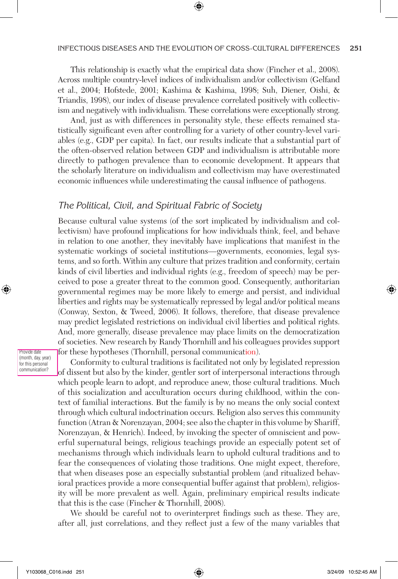#### Infectious Diseases and the Evolution of Cross-Cultural Differences **251**

This relationship is exactly what the empirical data show (Fincher et al., 2008). Across multiple country-level indices of individualism and/or collectivism (Gelfand et al., 2004; Hofstede, 2001; Kashima & Kashima, 1998; Suh, Diener, Oishi, & Triandis, 1998), our index of disease prevalence correlated positively with collectivism and negatively with individualism. These correlations were exceptionally strong.

And, just as with differences in personality style, these effects remained statistically significant even after controlling for a variety of other country-level variables (e.g., GDP per capita). In fact, our results indicate that a substantial part of the often-observed relation between GDP and individualism is attributable more directly to pathogen prevalence than to economic development. It appears that the scholarly literature on individualism and collectivism may have overestimated economic influences while underestimating the causal influence of pathogens.

#### *The Political, Civil, and Spiritual Fabric of Society*

Because cultural value systems (of the sort implicated by individualism and collectivism) have profound implications for how individuals think, feel, and behave in relation to one another, they inevitably have implications that manifest in the systematic workings of societal institutions—governments, economies, legal systems, and so forth. Within any culture that prizes tradition and conformity, certain kinds of civil liberties and individual rights (e.g., freedom of speech) may be perceived to pose a greater threat to the common good. Consequently, authoritarian governmental regimes may be more likely to emerge and persist, and individual liberties and rights may be systematically repressed by legal and/or political means (Conway, Sexton, & Tweed, 2006). It follows, therefore, that disease prevalence may predict legislated restrictions on individual civil liberties and political rights. And, more generally, disease prevalence may place limits on the democratization of societies. New research by Randy Thornhill and his colleagues provides support for these hypotheses (Thornhill, personal communication).

Provide date (month, day, year) for this personal communication?

⊕

Conformity to cultural traditions is facilitated not only by legislated repression of dissent but also by the kinder, gentler sort of interpersonal interactions through which people learn to adopt, and reproduce anew, those cultural traditions. Much of this socialization and acculturation occurs during childhood, within the context of familial interactions. But the family is by no means the only social context through which cultural indoctrination occurs. Religion also serves this community function (Atran & Norenzayan, 2004; see also the chapter in this volume by Shariff, Norenzayan, & Henrich). Indeed, by invoking the specter of omniscient and powerful supernatural beings, religious teachings provide an especially potent set of mechanisms through which individuals learn to uphold cultural traditions and to fear the consequences of violating those traditions. One might expect, therefore, that when diseases pose an especially substantial problem (and ritualized behavioral practices provide a more consequential buffer against that problem), religiosity will be more prevalent as well. Again, preliminary empirical results indicate that this is the case (Fincher & Thornhill, 2008).

We should be careful not to overinterpret findings such as these. They are, after all, just correlations, and they reflect just a few of the many variables that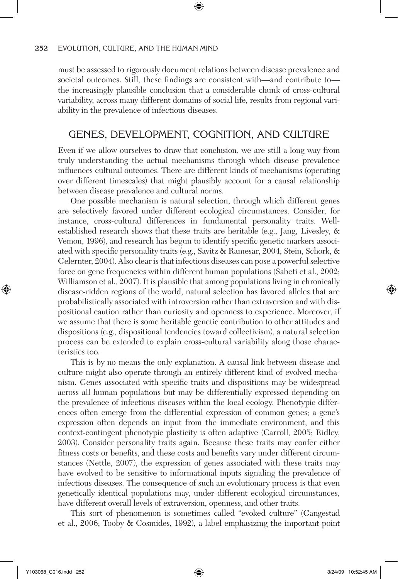must be assessed to rigorously document relations between disease prevalence and societal outcomes. Still, these findings are consistent with—and contribute to the increasingly plausible conclusion that a considerable chunk of cross-cultural variability, across many different domains of social life, results from regional variability in the prevalence of infectious diseases.

# Genes, Development, Cognition, and Culture

Even if we allow ourselves to draw that conclusion, we are still a long way from truly understanding the actual mechanisms through which disease prevalence influences cultural outcomes. There are different kinds of mechanisms (operating over different timescales) that might plausibly account for a causal relationship between disease prevalence and cultural norms.

One possible mechanism is natural selection, through which different genes are selectively favored under different ecological circumstances. Consider, for instance, cross-cultural differences in fundamental personality traits. Wellestablished research shows that these traits are heritable (e.g., Jang, Livesley, & Vemon, 1996), and research has begun to identify specific genetic markers associated with specific personality traits (e.g., Savitz & Ramesar, 2004; Stein, Schork, & Gelernter, 2004). Also clear is that infectious diseases can pose a powerful selective force on gene frequencies within different human populations (Sabeti et al., 2002; Williamson et al., 2007). It is plausible that among populations living in chronically disease-ridden regions of the world, natural selection has favored alleles that are probabilistically associated with introversion rather than extraversion and with dispositional caution rather than curiosity and openness to experience. Moreover, if we assume that there is some heritable genetic contribution to other attitudes and dispositions (e.g., dispositional tendencies toward collectivism), a natural selection process can be extended to explain cross-cultural variability along those characteristics too.

This is by no means the only explanation. A causal link between disease and culture might also operate through an entirely different kind of evolved mechanism. Genes associated with specific traits and dispositions may be widespread across all human populations but may be differentially expressed depending on the prevalence of infectious diseases within the local ecology. Phenotypic differences often emerge from the differential expression of common genes; a gene's expression often depends on input from the immediate environment, and this context-contingent phenotypic plasticity is often adaptive (Carroll, 2005; Ridley, 2003). Consider personality traits again. Because these traits may confer either fitness costs or benefits, and these costs and benefits vary under different circumstances (Nettle, 2007), the expression of genes associated with these traits may have evolved to be sensitive to informational inputs signaling the prevalence of infectious diseases. The consequence of such an evolutionary process is that even genetically identical populations may, under different ecological circumstances, have different overall levels of extraversion, openness, and other traits.

This sort of phenomenon is sometimes called "evoked culture" (Gangestad et al., 2006; Tooby & Cosmides, 1992), a label emphasizing the important point

↔

⊕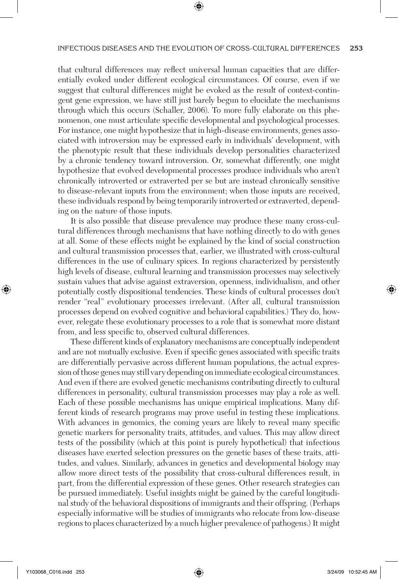#### Infectious Diseases and the Evolution of Cross-Cultural Differences **253**

that cultural differences may reflect universal human capacities that are differentially evoked under different ecological circumstances. Of course, even if we suggest that cultural differences might be evoked as the result of context-contingent gene expression, we have still just barely begun to elucidate the mechanisms through which this occurs (Schaller, 2006). To more fully elaborate on this phenomenon, one must articulate specific developmental and psychological processes. For instance, one might hypothesize that in high-disease environments, genes associated with introversion may be expressed early in individuals' development, with the phenotypic result that these individuals develop personalities characterized by a chronic tendency toward introversion. Or, somewhat differently, one might hypothesize that evolved developmental processes produce individuals who aren't chronically introverted or extraverted per se but are instead chronically sensitive to disease-relevant inputs from the environment; when those inputs are received, these individuals respond by being temporarily introverted or extraverted, depending on the nature of those inputs.

It is also possible that disease prevalence may produce these many cross-cultural differences through mechanisms that have nothing directly to do with genes at all. Some of these effects might be explained by the kind of social construction and cultural transmission processes that, earlier, we illustrated with cross-cultural differences in the use of culinary spices. In regions characterized by persistently high levels of disease, cultural learning and transmission processes may selectively sustain values that advise against extraversion, openness, individualism, and other potentially costly dispositional tendencies. These kinds of cultural processes don't render "real" evolutionary processes irrelevant. (After all, cultural transmission processes depend on evolved cognitive and behavioral capabilities.) They do, however, relegate these evolutionary processes to a role that is somewhat more distant from, and less specific to, observed cultural differences.

These different kinds of explanatory mechanisms are conceptually independent and are not mutually exclusive. Even if specific genes associated with specific traits are differentially pervasive across different human populations, the actual expression of those genes may still vary depending on immediate ecological circumstances. And even if there are evolved genetic mechanisms contributing directly to cultural differences in personality, cultural transmission processes may play a role as well. Each of these possible mechanisms has unique empirical implications. Many different kinds of research programs may prove useful in testing these implications. With advances in genomics, the coming years are likely to reveal many specific genetic markers for personality traits, attitudes, and values. This may allow direct tests of the possibility (which at this point is purely hypothetical) that infectious diseases have exerted selection pressures on the genetic bases of these traits, attitudes, and values. Similarly, advances in genetics and developmental biology may allow more direct tests of the possibility that cross-cultural differences result, in part, from the differential expression of these genes. Other research strategies can be pursued immediately. Useful insights might be gained by the careful longitudinal study of the behavioral dispositions of immigrants and their offspring. (Perhaps especially informative will be studies of immigrants who relocate from low-disease regions to places characterized by a much higher prevalence of pathogens.) It might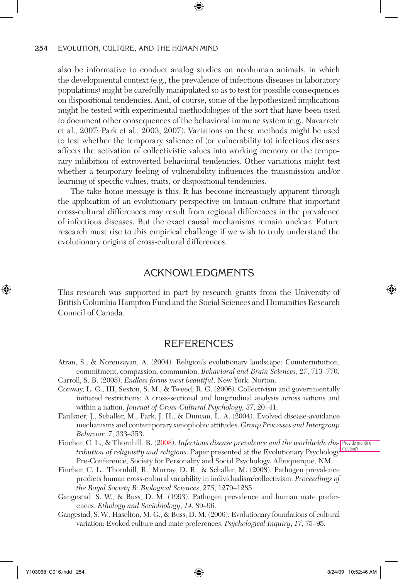also be informative to conduct analog studies on nonhuman animals, in which the developmental context (e.g., the prevalence of infectious diseases in laboratory populations) might be carefully manipulated so as to test for possible consequences on dispositional tendencies. And, of course, some of the hypothesized implications might be tested with experimental methodologies of the sort that have been used to document other consequences of the behavioral immune system (e.g., Navarrete et al., 2007; Park et al., 2003, 2007). Variations on these methods might be used to test whether the temporary salience of (or vulnerability to) infectious diseases affects the activation of collectivistic values into working memory or the temporary inhibition of extroverted behavioral tendencies. Other variations might test whether a temporary feeling of vulnerability influences the transmission and/or learning of specific values, traits, or dispositional tendencies.

The take-home message is this: It has become increasingly apparent through the application of an evolutionary perspective on human culture that important cross-cultural differences may result from regional differences in the prevalence of infectious diseases. But the exact causal mechanisms remain unclear. Future research must rise to this empirical challenge if we wish to truly understand the evolutionary origins of cross-cultural differences.

## Acknowledgments

This research was supported in part by research grants from the University of British Columbia Hampton Fund and the Social Sciences and Humanities Research Council of Canada.

## **REFERENCES**

- Atran, S., & Norenzayan, A. (2004). Religion's evolutionary landscape: Counterintuition, commitment, compassion, communion. *Behavioral and Brain Sciences*, *27*, 713–770. Carroll, S. B. (2005). *Endless forms most beautiful*. New York: Norton.
- Conway, L. G., III, Sexton, S. M., & Tweed, R. G. (2006). Collectivism and governmentally initiated restrictions: A cross-sectional and longitudinal analysis across nations and within a nation. *Journal of Cross-Cultural Psychology, 37*, 20–41.
- Faulkner, J., Schaller, M., Park, J. H., & Duncan, L. A. (2004). Evolved disease-avoidance mechanisms and contemporary xenophobic attitudes. *Group Processes and Intergroup Behavior*, *7*, 333–353.
- Fincher, C. L., & Thornhill, R. (2008). *Infectious disease prevalence and the worldwide dis-*Provide month of *tribution of religiosity and religions*. Paper presented at the Evolutionary Psychology meeting? Pre-Conference, Society for Personality and Social Psychology. Albuquerque, NM.
- Fincher, C. L., Thornhill, R., Murray, D. R., & Schaller, M. (2008). Pathogen prevalence predicts human cross-cultural variability in individualism/collectivism. *Proceedings of the Royal Society B: Biological Sciences*, *275*, 1279–1285.
- Gangestad, S. W., & Buss, D. M. (1993). Pathogen prevalence and human mate preferences. *Ethology and Sociobiology*, *14*, 89–96.
- Gangestad, S. W., Haselton, M. G., & Buss, D. M. (2006). Evolutionary foundations of cultural variation: Evoked culture and mate preferences. *Psychological Inquiry*, *17*, 75–95.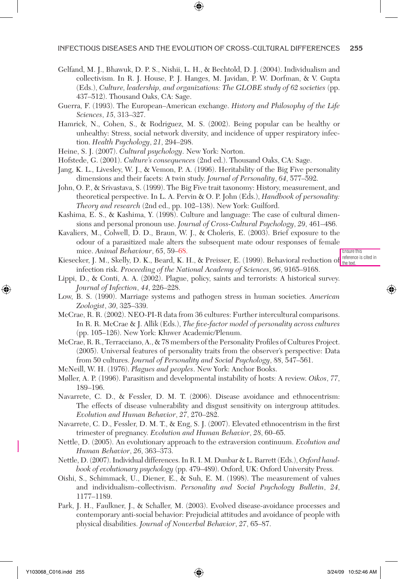- Gelfand, M. J., Bhawuk, D. P. S., Nishii, L. H., & Bechtold, D. J. (2004). Individualism and collectivism. In R. J. House, P. J. Hanges, M. Javidan, P. W. Dorfman, & V. Gupta (Eds.), *Culture, leadership, and organizations: The GLOBE study of 62 societies* (pp. 437–512). Thousand Oaks, CA: Sage.
- Guerra, F. (1993). The European–American exchange. *History and Philosophy of the Life Sciences*, *15*, 313–327.
- Hamrick, N., Cohen, S., & Rodriguez, M. S. (2002). Being popular can be healthy or unhealthy: Stress, social network diversity, and incidence of upper respiratory infection. *Health Psychology*, *21*, 294–298.
- Heine, S. J. (2007). *Cultural psychology*. New York: Norton.
- Hofstede, G. (2001). *Culture's consequences* (2nd ed.). Thousand Oaks, CA: Sage.
- Jang, K. L., Livesley, W. J., & Vemon, P. A. (1996). Heritability of the Big Five personality dimensions and their facets: A twin study. *Journal of Personality*, *64*, 577–592.
- John, O. P., & Srivastava, S. (1999). The Big Five trait taxonomy: History, measurement, and theoretical perspective. In L. A. Pervin & O. P. John (Eds.), *Handbook of personality: Theory and research* (2nd ed., pp. 102–138). New York: Guilford.

Kashima, E. S., & Kashima, Y. (1998). Culture and language: The case of cultural dimensions and personal pronoun use. *Journal of Cross-Cultural Psychology*, *29*, 461–486.

- Kavaliers, M., Colwell, D. D., Braun, W. J., & Choleris, E. (2003). Brief exposure to the odour of a parasitized male alters the subsequent mate odour responses of female mice. *Animal Behaviour*, *65*, 59–68.
- Kiesecker, J. M., Skelly, D. K., Beard, K. H., & Preisser, E. (1999). Behavioral reduction of the text. infection risk. *Proceeding of the National Academy of Sciences*, *96*, 9165–9168.
- Lippi, D., & Conti, A. A. (2002). Plague, policy, saints and terrorists: A historical survey. *Journal of Infection*, *44*, 226–228.
- Low, B. S. (1990). Marriage systems and pathogen stress in human societies. *American Zoologist*, *30*, 325–339.
- McCrae, R. R. (2002). NEO-PI-R data from 36 cultures: Further intercultural comparisons. In R. R. McCrae & J. Allik (Eds.), *The five-factor model of personality across cultures* (pp. 105–126). New York: Kluwer Academic/Plenum.
- McCrae, R. R., Terracciano, A., & 78 members of the Personality Profiles of Cultures Project. (2005). Universal features of personality traits from the observer's perspective: Data from 50 cultures. *Journal of Personality and Social Psychology*, *88*, 547–561.
- McNeill, W. H. (1976). *Plagues and peoples*. New York: Anchor Books.
- Møller, A. P. (1996). Parasitism and developmental instability of hosts: A review. *Oikos*, *77*, 189–196.
- Navarrete, C. D., & Fessler, D. M. T. (2006). Disease avoidance and ethnocentrism: The effects of disease vulnerability and disgust sensitivity on intergroup attitudes. *Evolution and Human Behavior*, *27*, 270–282.
- Navarrete, C. D., Fessler, D. M. T., & Eng, S. J. (2007). Elevated ethnocentrism in the first trimester of pregnancy. *Evolution and Human Behavior*, *28*, 60–65.
- Nettle, D. (2005). An evolutionary approach to the extraversion continuum. *Evolution and Human Behavior*, *26*, 363–373.
- Nettle, D. (2007). Individual differences. In R. I. M. Dunbar & L. Barrett (Eds.), *Oxford handbook of evolutionary psychology* (pp. 479–489). Oxford, UK: Oxford University Press.
- Oishi, S., Schimmack, U., Diener, E., & Suh, E. M. (1998). The measurement of values and individualism–collectivism. *Personality and Social Psychology Bulletin*, *24*, 1177–1189.
- Park, J. H., Faulkner, J., & Schaller, M. (2003). Evolved disease-avoidance processes and contemporary anti-social behavior: Prejudicial attitudes and avoidance of people with physical disabilities. *Journal of Nonverbal Behavior*, *27*, 65–87.

Y103068\_C016.indd 255 3/24/09 10:52:46 AM

Ensure this reference is cited in